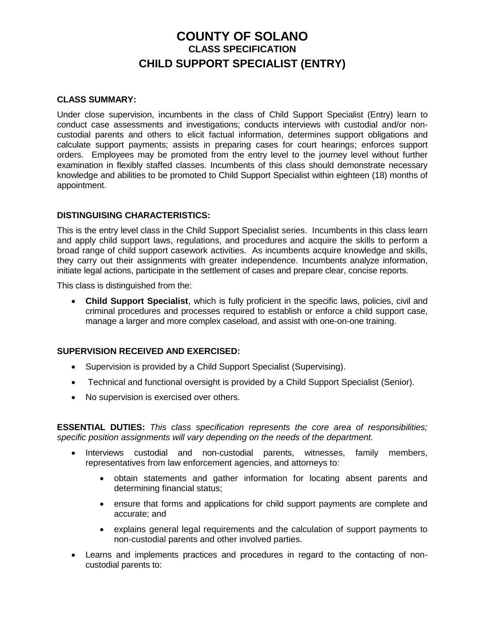# **COUNTY OF SOLANO CLASS SPECIFICATION CHILD SUPPORT SPECIALIST (ENTRY)**

#### **CLASS SUMMARY:**

Under close supervision, incumbents in the class of Child Support Specialist (Entry) learn to conduct case assessments and investigations; conducts interviews with custodial and/or noncustodial parents and others to elicit factual information, determines support obligations and calculate support payments; assists in preparing cases for court hearings; enforces support orders. Employees may be promoted from the entry level to the journey level without further examination in flexibly staffed classes. Incumbents of this class should demonstrate necessary knowledge and abilities to be promoted to Child Support Specialist within eighteen (18) months of appointment.

### **DISTINGUISING CHARACTERISTICS:**

This is the entry level class in the Child Support Specialist series. Incumbents in this class learn and apply child support laws, regulations, and procedures and acquire the skills to perform a broad range of child support casework activities. As incumbents acquire knowledge and skills, they carry out their assignments with greater independence. Incumbents analyze information, initiate legal actions, participate in the settlement of cases and prepare clear, concise reports.

This class is distinguished from the:

 **Child Support Specialist**, which is fully proficient in the specific laws, policies, civil and criminal procedures and processes required to establish or enforce a child support case, manage a larger and more complex caseload, and assist with one-on-one training.

## **SUPERVISION RECEIVED AND EXERCISED:**

- Supervision is provided by a Child Support Specialist (Supervising).
- Technical and functional oversight is provided by a Child Support Specialist (Senior).
- No supervision is exercised over others.

**ESSENTIAL DUTIES:** *This class specification represents the core area of responsibilities; specific position assignments will vary depending on the needs of the department.*

- Interviews custodial and non-custodial parents, witnesses, family members, representatives from law enforcement agencies, and attorneys to:
	- obtain statements and gather information for locating absent parents and determining financial status;
	- ensure that forms and applications for child support payments are complete and accurate; and
	- explains general legal requirements and the calculation of support payments to non-custodial parents and other involved parties.
- Learns and implements practices and procedures in regard to the contacting of noncustodial parents to: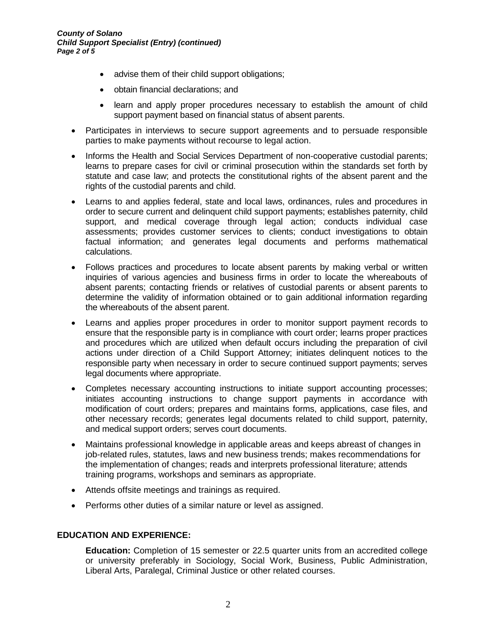- advise them of their child support obligations;
- obtain financial declarations: and
- learn and apply proper procedures necessary to establish the amount of child support payment based on financial status of absent parents.
- Participates in interviews to secure support agreements and to persuade responsible parties to make payments without recourse to legal action.
- Informs the Health and Social Services Department of non-cooperative custodial parents; learns to prepare cases for civil or criminal prosecution within the standards set forth by statute and case law; and protects the constitutional rights of the absent parent and the rights of the custodial parents and child.
- Learns to and applies federal, state and local laws, ordinances, rules and procedures in order to secure current and delinquent child support payments; establishes paternity, child support, and medical coverage through legal action; conducts individual case assessments; provides customer services to clients; conduct investigations to obtain factual information; and generates legal documents and performs mathematical calculations.
- Follows practices and procedures to locate absent parents by making verbal or written inquiries of various agencies and business firms in order to locate the whereabouts of absent parents; contacting friends or relatives of custodial parents or absent parents to determine the validity of information obtained or to gain additional information regarding the whereabouts of the absent parent.
- Learns and applies proper procedures in order to monitor support payment records to ensure that the responsible party is in compliance with court order; learns proper practices and procedures which are utilized when default occurs including the preparation of civil actions under direction of a Child Support Attorney; initiates delinquent notices to the responsible party when necessary in order to secure continued support payments; serves legal documents where appropriate.
- Completes necessary accounting instructions to initiate support accounting processes; initiates accounting instructions to change support payments in accordance with modification of court orders; prepares and maintains forms, applications, case files, and other necessary records; generates legal documents related to child support, paternity, and medical support orders; serves court documents.
- Maintains professional knowledge in applicable areas and keeps abreast of changes in job-related rules, statutes, laws and new business trends; makes recommendations for the implementation of changes; reads and interprets professional literature; attends training programs, workshops and seminars as appropriate.
- Attends offsite meetings and trainings as required.
- Performs other duties of a similar nature or level as assigned.

## **EDUCATION AND EXPERIENCE:**

**Education:** Completion of 15 semester or 22.5 quarter units from an accredited college or university preferably in Sociology, Social Work, Business, Public Administration, Liberal Arts, Paralegal, Criminal Justice or other related courses.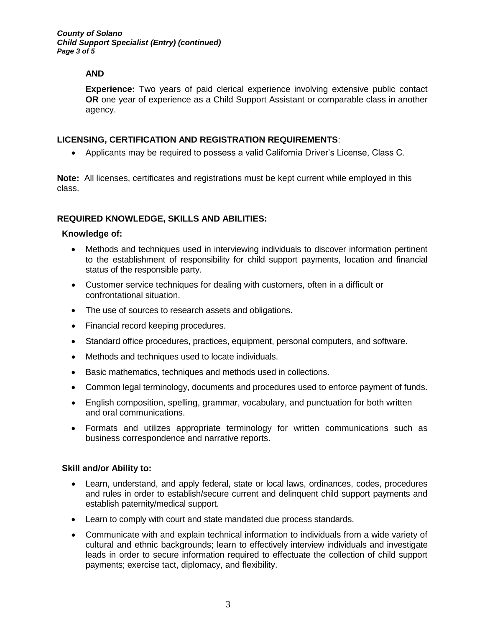*County of Solano Child Support Specialist (Entry) (continued) Page 3 of 5*

## **AND**

**Experience:** Two years of paid clerical experience involving extensive public contact **OR** one year of experience as a Child Support Assistant or comparable class in another agency.

## **LICENSING, CERTIFICATION AND REGISTRATION REQUIREMENTS**:

Applicants may be required to possess a valid California Driver's License, Class C.

**Note:** All licenses, certificates and registrations must be kept current while employed in this class.

### **REQUIRED KNOWLEDGE, SKILLS AND ABILITIES:**

#### **Knowledge of:**

- Methods and techniques used in interviewing individuals to discover information pertinent to the establishment of responsibility for child support payments, location and financial status of the responsible party.
- Customer service techniques for dealing with customers, often in a difficult or confrontational situation.
- The use of sources to research assets and obligations.
- Financial record keeping procedures.
- Standard office procedures, practices, equipment, personal computers, and software.
- Methods and techniques used to locate individuals.
- Basic mathematics, techniques and methods used in collections.
- Common legal terminology, documents and procedures used to enforce payment of funds.
- English composition, spelling, grammar, vocabulary, and punctuation for both written and oral communications.
- Formats and utilizes appropriate terminology for written communications such as business correspondence and narrative reports.

#### **Skill and/or Ability to:**

- Learn, understand, and apply federal, state or local laws, ordinances, codes, procedures and rules in order to establish/secure current and delinquent child support payments and establish paternity/medical support.
- Learn to comply with court and state mandated due process standards.
- Communicate with and explain technical information to individuals from a wide variety of cultural and ethnic backgrounds; learn to effectively interview individuals and investigate leads in order to secure information required to effectuate the collection of child support payments; exercise tact, diplomacy, and flexibility.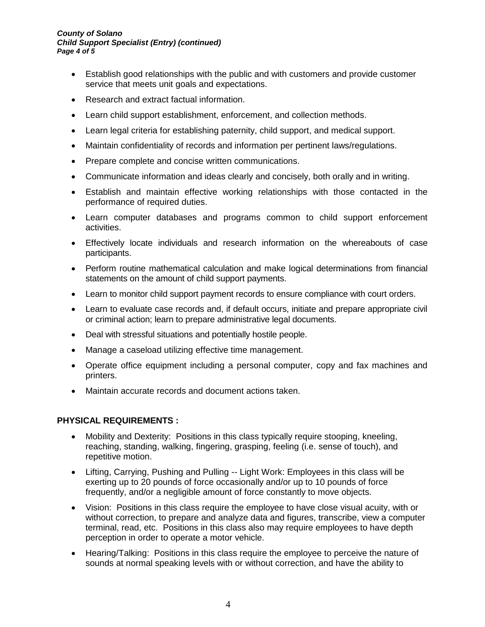#### *County of Solano Child Support Specialist (Entry) (continued) Page 4 of 5*

- Establish good relationships with the public and with customers and provide customer service that meets unit goals and expectations.
- Research and extract factual information.
- Learn child support establishment, enforcement, and collection methods.
- Learn legal criteria for establishing paternity, child support, and medical support.
- Maintain confidentiality of records and information per pertinent laws/regulations.
- Prepare complete and concise written communications.
- Communicate information and ideas clearly and concisely, both orally and in writing.
- Establish and maintain effective working relationships with those contacted in the performance of required duties.
- Learn computer databases and programs common to child support enforcement activities.
- Effectively locate individuals and research information on the whereabouts of case participants.
- Perform routine mathematical calculation and make logical determinations from financial statements on the amount of child support payments.
- Learn to monitor child support payment records to ensure compliance with court orders.
- Learn to evaluate case records and, if default occurs, initiate and prepare appropriate civil or criminal action; learn to prepare administrative legal documents.
- Deal with stressful situations and potentially hostile people.
- Manage a caseload utilizing effective time management.
- Operate office equipment including a personal computer, copy and fax machines and printers.
- Maintain accurate records and document actions taken.

## **PHYSICAL REQUIREMENTS :**

- Mobility and Dexterity: Positions in this class typically require stooping, kneeling, reaching, standing, walking, fingering, grasping, feeling (i.e. sense of touch), and repetitive motion.
- Lifting, Carrying, Pushing and Pulling -- Light Work: Employees in this class will be exerting up to 20 pounds of force occasionally and/or up to 10 pounds of force frequently, and/or a negligible amount of force constantly to move objects.
- Vision: Positions in this class require the employee to have close visual acuity, with or without correction, to prepare and analyze data and figures, transcribe, view a computer terminal, read, etc. Positions in this class also may require employees to have depth perception in order to operate a motor vehicle.
- Hearing/Talking: Positions in this class require the employee to perceive the nature of sounds at normal speaking levels with or without correction, and have the ability to